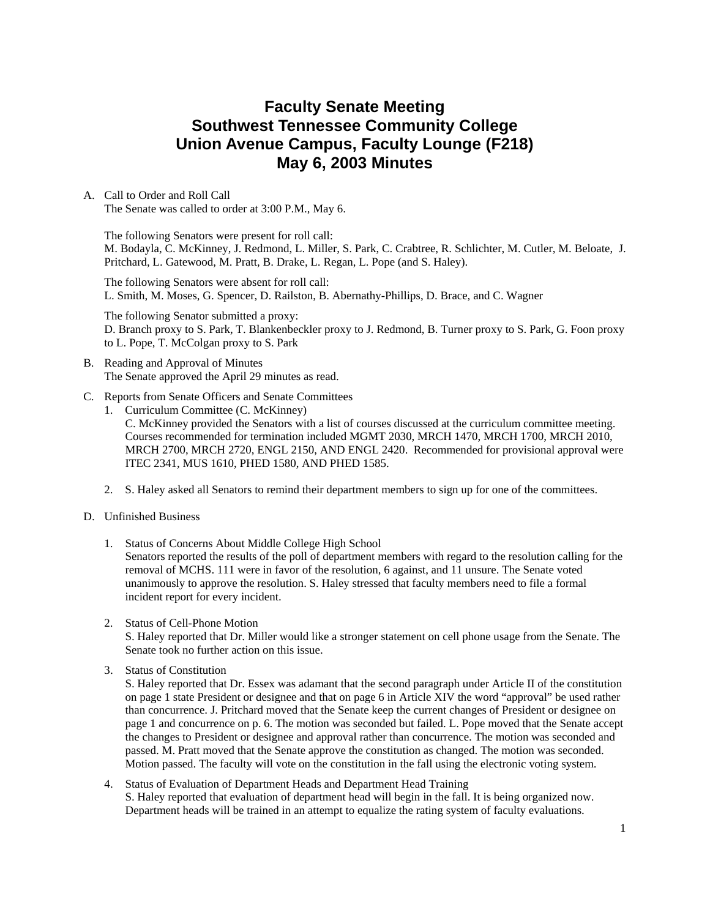# **Faculty Senate Meeting Southwest Tennessee Community College Union Avenue Campus, Faculty Lounge (F218) May 6, 2003 Minutes**

### A. Call to Order and Roll Call The Senate was called to order at 3:00 P.M., May 6.

The following Senators were present for roll call: M. Bodayla, C. McKinney, J. Redmond, L. Miller, S. Park, C. Crabtree, R. Schlichter, M. Cutler, M. Beloate, J. Pritchard, L. Gatewood, M. Pratt, B. Drake, L. Regan, L. Pope (and S. Haley).

The following Senators were absent for roll call: L. Smith, M. Moses, G. Spencer, D. Railston, B. Abernathy-Phillips, D. Brace, and C. Wagner

The following Senator submitted a proxy: D. Branch proxy to S. Park, T. Blankenbeckler proxy to J. Redmond, B. Turner proxy to S. Park, G. Foon proxy to L. Pope, T. McColgan proxy to S. Park

- B. Reading and Approval of Minutes The Senate approved the April 29 minutes as read.
- C. Reports from Senate Officers and Senate Committees
	- 1. Curriculum Committee (C. McKinney)

C. McKinney provided the Senators with a list of courses discussed at the curriculum committee meeting. Courses recommended for termination included MGMT 2030, MRCH 1470, MRCH 1700, MRCH 2010, MRCH 2700, MRCH 2720, ENGL 2150, AND ENGL 2420. Recommended for provisional approval were ITEC 2341, MUS 1610, PHED 1580, AND PHED 1585.

- 2. S. Haley asked all Senators to remind their department members to sign up for one of the committees.
- D. Unfinished Business
	- 1. Status of Concerns About Middle College High School

Senators reported the results of the poll of department members with regard to the resolution calling for the removal of MCHS. 111 were in favor of the resolution, 6 against, and 11 unsure. The Senate voted unanimously to approve the resolution. S. Haley stressed that faculty members need to file a formal incident report for every incident.

2. Status of Cell-Phone Motion

S. Haley reported that Dr. Miller would like a stronger statement on cell phone usage from the Senate. The Senate took no further action on this issue.

3. Status of Constitution

S. Haley reported that Dr. Essex was adamant that the second paragraph under Article II of the constitution on page 1 state President or designee and that on page 6 in Article XIV the word "approval" be used rather than concurrence. J. Pritchard moved that the Senate keep the current changes of President or designee on page 1 and concurrence on p. 6. The motion was seconded but failed. L. Pope moved that the Senate accept the changes to President or designee and approval rather than concurrence. The motion was seconded and passed. M. Pratt moved that the Senate approve the constitution as changed. The motion was seconded. Motion passed. The faculty will vote on the constitution in the fall using the electronic voting system.

### 4. Status of Evaluation of Department Heads and Department Head Training S. Haley reported that evaluation of department head will begin in the fall. It is being organized now. Department heads will be trained in an attempt to equalize the rating system of faculty evaluations.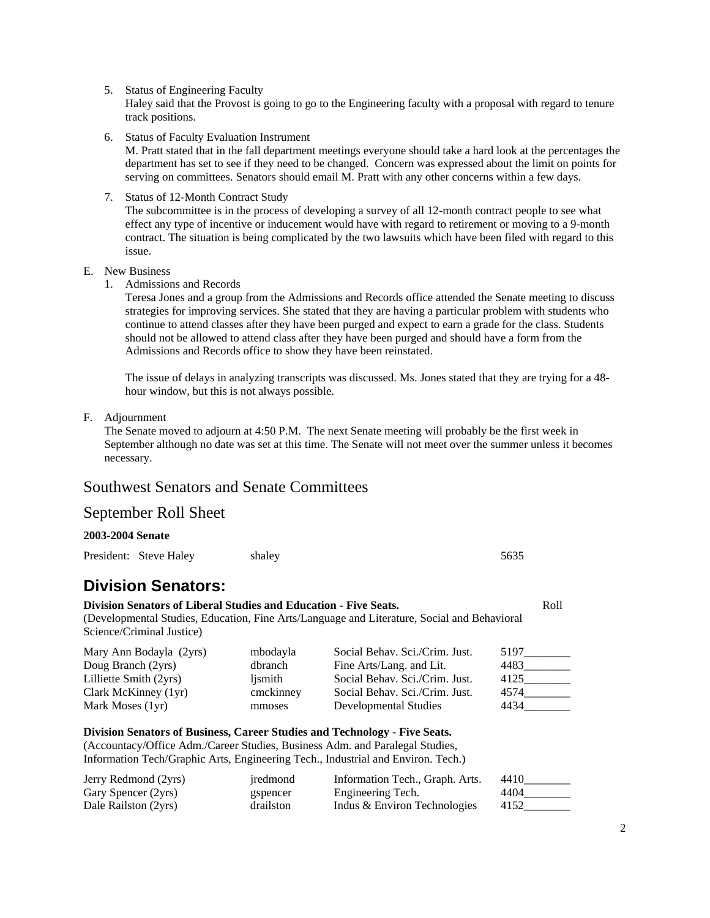5. Status of Engineering Faculty

Haley said that the Provost is going to go to the Engineering faculty with a proposal with regard to tenure track positions.

6. Status of Faculty Evaluation Instrument

M. Pratt stated that in the fall department meetings everyone should take a hard look at the percentages the department has set to see if they need to be changed. Concern was expressed about the limit on points for serving on committees. Senators should email M. Pratt with any other concerns within a few days.

7. Status of 12-Month Contract Study

The subcommittee is in the process of developing a survey of all 12-month contract people to see what effect any type of incentive or inducement would have with regard to retirement or moving to a 9-month contract. The situation is being complicated by the two lawsuits which have been filed with regard to this issue.

- E. New Business
	- 1. Admissions and Records

Teresa Jones and a group from the Admissions and Records office attended the Senate meeting to discuss strategies for improving services. She stated that they are having a particular problem with students who continue to attend classes after they have been purged and expect to earn a grade for the class. Students should not be allowed to attend class after they have been purged and should have a form from the Admissions and Records office to show they have been reinstated.

The issue of delays in analyzing transcripts was discussed. Ms. Jones stated that they are trying for a 48 hour window, but this is not always possible.

F. Adjournment

The Senate moved to adjourn at 4:50 P.M. The next Senate meeting will probably be the first week in September although no date was set at this time. The Senate will not meet over the summer unless it becomes necessary.

## Southwest Senators and Senate Committees

### **2003-2004 Senate**

| President: Steve Haley                                                                        | shaley   |                                                                                             | 5635 |      |
|-----------------------------------------------------------------------------------------------|----------|---------------------------------------------------------------------------------------------|------|------|
| <b>Division Senators:</b>                                                                     |          |                                                                                             |      |      |
| Division Senators of Liberal Studies and Education - Five Seats.<br>Science/Criminal Justice) |          | (Developmental Studies, Education, Fine Arts/Language and Literature, Social and Behavioral |      | Roll |
| Mary Ann Bodayla (2yrs)                                                                       | mbodayla | Social Behav. Sci./Crim. Just.                                                              | 5197 |      |

| moodayia  | SOCIAI DEIIAV. SCI./UIIIII. JUST. | .1171 |
|-----------|-----------------------------------|-------|
| dbranch   | Fine Arts/Lang. and Lit.          | 4483  |
| lismith   | Social Behav. Sci./Crim. Just.    | 4125  |
| cmckinney | Social Behav. Sci./Crim. Just.    | 4574  |
| mmoses    | Developmental Studies             | 4434  |
|           |                                   |       |

## **Division Senators of Business, Career Studies and Technology - Five Seats.**

(Accountacy/Office Adm./Career Studies, Business Adm. and Paralegal Studies, Information Tech/Graphic Arts, Engineering Tech., Industrial and Environ. Tech.)

| Jerry Redmond (2yrs) | iredmond  | Information Tech., Graph. Arts. | 4410 |
|----------------------|-----------|---------------------------------|------|
| Gary Spencer (2yrs)  | gspencer  | Engineering Tech.               | 4404 |
| Dale Railston (2yrs) | drailston | Indus & Environ Technologies    | 4152 |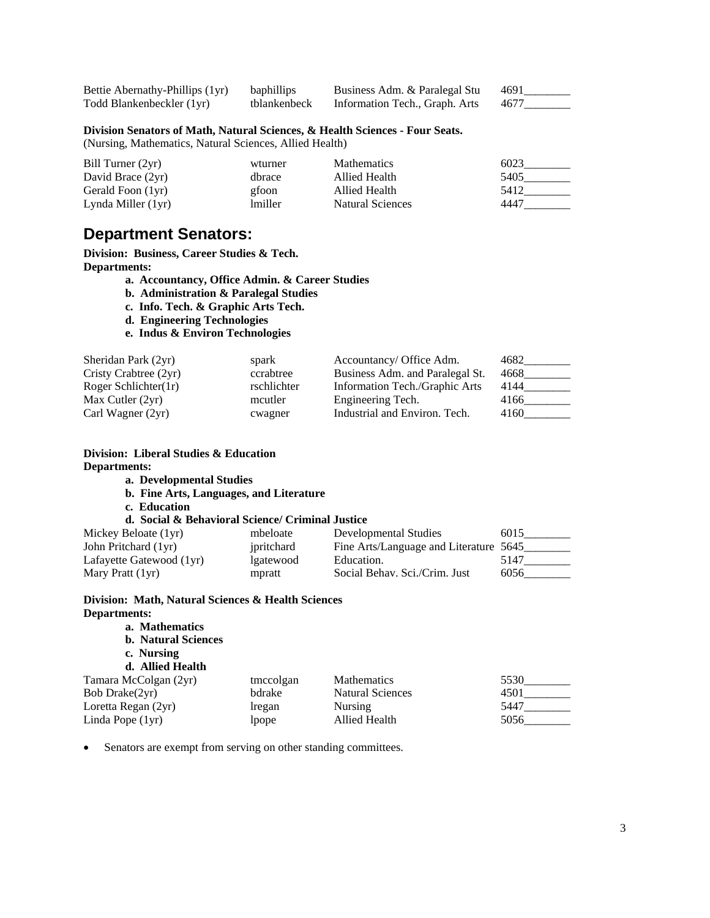| Bettie Abernathy-Phillips (1yr) | baphillips   | Business Adm. & Paralegal Stu  | 4691 |
|---------------------------------|--------------|--------------------------------|------|
| Todd Blankenbeckler (1yr)       | tblankenbeck | Information Tech., Graph. Arts | 4677 |

### **Division Senators of Math, Natural Sciences, & Health Sciences - Four Seats.**

(Nursing, Mathematics, Natural Sciences, Allied Health)

| Bill Turner (2yr)  | wturner        | <b>Mathematics</b> | 6023 |
|--------------------|----------------|--------------------|------|
| David Brace (2yr)  | dhrace         | Allied Health      | 5405 |
| Gerald Foon (1yr)  | gfoon          | Allied Health      | 5412 |
| Lynda Miller (1yr) | <i>lmiller</i> | Natural Sciences   | 4447 |

## **Department Senators:**

**Division: Business, Career Studies & Tech. Departments:** 

**a. Accountancy, Office Admin. & Career Studies** 

- **b. Administration & Paralegal Studies**
- **c. Info. Tech. & Graphic Arts Tech.**
- **d. Engineering Technologies**
- **e. Indus & Environ Technologies**

| Sheridan Park (2yr)   | spark       | Accountancy/ Office Adm.        | 4682 |
|-----------------------|-------------|---------------------------------|------|
| Cristy Crabtree (2yr) | ccrabtree   | Business Adm. and Paralegal St. | 4668 |
| Roger Schlichter(1r)  | rschlichter | Information Tech./Graphic Arts  | 4144 |
| Max Cutler $(2yr)$    | mcutler     | Engineering Tech.               | 4166 |
| Carl Wagner $(2yr)$   | cwagner     | Industrial and Environ. Tech.   | 4160 |

#### **Division: Liberal Studies & Education Departments:**   $\overline{a}$ . Developmental  $\overline{b}$

|  |  | a. Developmental Studies |  |
|--|--|--------------------------|--|
|--|--|--------------------------|--|

- **b. Fine Arts, Languages, and Literature** 
	- **c. Education**

#### **d. Social & Behavioral Science/ Criminal Justice**

| Mickey Beloate (1yr)     | mbeloate   | Developmental Studies                  | 6015 |
|--------------------------|------------|----------------------------------------|------|
| John Pritchard (1yr)     | ipritchard | Fine Arts/Language and Literature 5645 |      |
| Lafayette Gatewood (1yr) | lgatewood  | Education.                             | 5147 |
| Mary Pratt (1yr)         | mpratt     | Social Behav. Sci./Crim. Just          | 6056 |

#### **Division: Math, Natural Sciences & Health Sciences Departments:**   $M_0$ thematics *M*

| a. Mathematics             |           |                         |      |
|----------------------------|-----------|-------------------------|------|
| <b>b.</b> Natural Sciences |           |                         |      |
| c. Nursing                 |           |                         |      |
| d. Allied Health           |           |                         |      |
| Tamara McColgan (2yr)      | tmccolgan | <b>Mathematics</b>      | 5530 |
| Bob Drake(2yr)             | bdrake    | <b>Natural Sciences</b> | 4501 |
| Loretta Regan (2yr)        | lregan    | <b>Nursing</b>          | 5447 |
| Linda Pope (1yr)           | lpope     | Allied Health           | 5056 |
|                            |           |                         |      |

• Senators are exempt from serving on other standing committees.